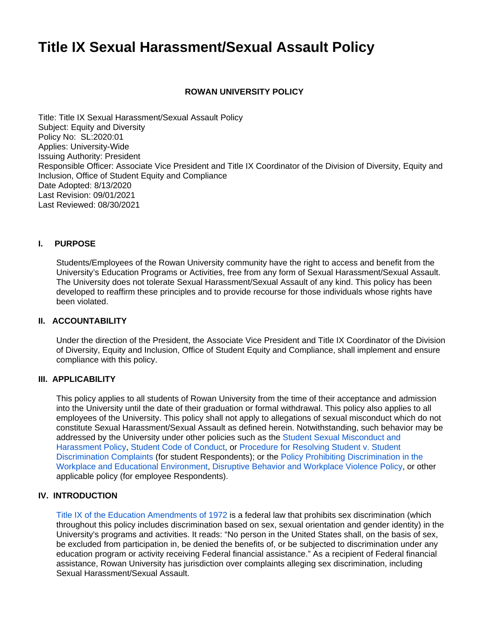# **Title IX Sexual Harassment/Sexual Assault Policy**

## **ROWAN UNIVERSITY POLICY**

Title: Title IX Sexual Harassment/Sexual Assault Policy Subject: Equity and Diversity Policy No: SL:2020:01 Applies: University-Wide Issuing Authority: President Responsible Officer: Associate Vice President and Title IX Coordinator of the Division of Diversity, Equity and Inclusion, Office of Student Equity and Compliance Date Adopted: 8/13/2020 Last Revision: 09/01/2021 Last Reviewed: 08/30/2021

#### **I. PURPOSE**

Students/Employees of the Rowan University community have the right to access and benefit from the University's Education Programs or Activities, free from any form of Sexual Harassment/Sexual Assault. The University does not tolerate Sexual Harassment/Sexual Assault of any kind. This policy has been developed to reaffirm these principles and to provide recourse for those individuals whose rights have been violated.

## **II. ACCOUNTABILITY**

Under the direction of the President, the Associate Vice President and Title IX Coordinator of the Division of Diversity, Equity and Inclusion, Office of Student Equity and Compliance, shall implement and ensure compliance with this policy.

#### **III. APPLICABILITY**

This policy applies to all students of Rowan University from the time of their acceptance and admission into the University until the date of their graduation or formal withdrawal. This policy also applies to all employees of the University. This policy shall not apply to allegations of sexual misconduct which do not constitute Sexual Harassment/Sexual Assault as defined herein. Notwithstanding, such behavior may be addressed by the University under other policies such as the [Student Sexual Misconduct and](https://confluence.rowan.edu/display/POLICY/Student+Sexual+Misconduct+and+Harassment+Policy)  [Harassment Policy](https://confluence.rowan.edu/display/POLICY/Student+Sexual+Misconduct+and+Harassment+Policy), [Student Code of Conduct,](https://confluence.rowan.edu/display/POLICY/Student+Code+of+Conduct) or [Procedure for Resolving Student v. Student](https://sites.rowan.edu/diversity-equity-inclusion/_docs/procedure-for-t6.pdf)  [Discrimination Complaints](https://sites.rowan.edu/diversity-equity-inclusion/_docs/procedure-for-t6.pdf) (for student Respondents); or the [Policy Prohibiting Discrimination in the](https://confluence.rowan.edu/display/POLICY/Policy+Prohibiting+Discrimination+in+the+Workplace+and+Educational+Environment)  [Workplace and Educational Environment](https://confluence.rowan.edu/display/POLICY/Policy+Prohibiting+Discrimination+in+the+Workplace+and+Educational+Environment), [Disruptive Behavior and Workplace Violence Policy](https://confluence.rowan.edu/display/POLICY/Disruptive+Behavior+and+Workplace+Violence+Policy#:~:text=Rowan%20University%20does%20not%20tolerate%20violence%20or%20bullying%20in%20the%20workplace.&text=Individuals%20who%20believe%20they%20are,that%20such%20behavior%20immediately%20stop.), or other applicable policy (for employee Respondents).

#### **IV. INTRODUCTION**

[Title IX of the Education Amendments of 1972](https://www2.ed.gov/about/offices/list/ocr/docs/tix_dis.html) is a federal law that prohibits sex discrimination (which throughout this policy includes discrimination based on sex, sexual orientation and gender identity) in the University's programs and activities. It reads: "No person in the United States shall, on the basis of sex, be excluded from participation in, be denied the benefits of, or be subjected to discrimination under any education program or activity receiving Federal financial assistance." As a recipient of Federal financial assistance, Rowan University has jurisdiction over complaints alleging sex discrimination, including Sexual Harassment/Sexual Assault.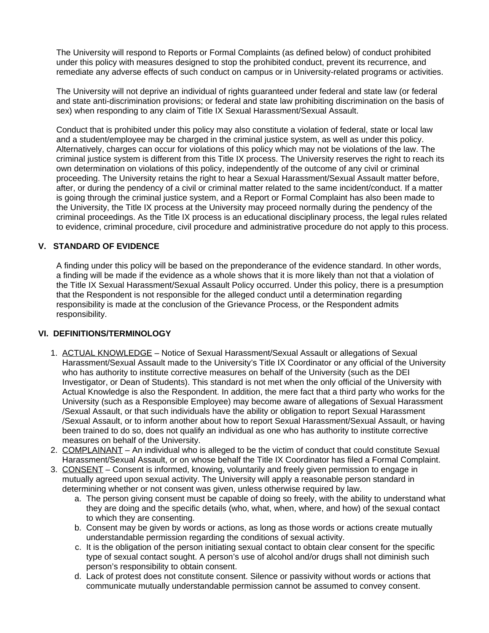The University will respond to Reports or Formal Complaints (as defined below) of conduct prohibited under this policy with measures designed to stop the prohibited conduct, prevent its recurrence, and remediate any adverse effects of such conduct on campus or in University-related programs or activities.

The University will not deprive an individual of rights guaranteed under federal and state law (or federal and state anti-discrimination provisions; or federal and state law prohibiting discrimination on the basis of sex) when responding to any claim of Title IX Sexual Harassment/Sexual Assault.

Conduct that is prohibited under this policy may also constitute a violation of federal, state or local law and a student/employee may be charged in the criminal justice system, as well as under this policy. Alternatively, charges can occur for violations of this policy which may not be violations of the law. The criminal justice system is different from this Title IX process. The University reserves the right to reach its own determination on violations of this policy, independently of the outcome of any civil or criminal proceeding. The University retains the right to hear a Sexual Harassment/Sexual Assault matter before, after, or during the pendency of a civil or criminal matter related to the same incident/conduct. If a matter is going through the criminal justice system, and a Report or Formal Complaint has also been made to the University, the Title IX process at the University may proceed normally during the pendency of the criminal proceedings. As the Title IX process is an educational disciplinary process, the legal rules related to evidence, criminal procedure, civil procedure and administrative procedure do not apply to this process.

# **V. STANDARD OF EVIDENCE**

A finding under this policy will be based on the preponderance of the evidence standard. In other words, a finding will be made if the evidence as a whole shows that it is more likely than not that a violation of the Title IX Sexual Harassment/Sexual Assault Policy occurred. Under this policy, there is a presumption that the Respondent is not responsible for the alleged conduct until a determination regarding responsibility is made at the conclusion of the Grievance Process, or the Respondent admits responsibility.

# **VI. DEFINITIONS/TERMINOLOGY**

- 1. ACTUAL KNOWLEDGE Notice of Sexual Harassment/Sexual Assault or allegations of Sexual Harassment/Sexual Assault made to the University's Title IX Coordinator or any official of the University who has authority to institute corrective measures on behalf of the University (such as the DEI Investigator, or Dean of Students). This standard is not met when the only official of the University with Actual Knowledge is also the Respondent. In addition, the mere fact that a third party who works for the University (such as a Responsible Employee) may become aware of allegations of Sexual Harassment /Sexual Assault, or that such individuals have the ability or obligation to report Sexual Harassment /Sexual Assault, or to inform another about how to report Sexual Harassment/Sexual Assault, or having been trained to do so, does not qualify an individual as one who has authority to institute corrective measures on behalf of the University.
- 2. COMPLAINANT An individual who is alleged to be the victim of conduct that could constitute Sexual Harassment/Sexual Assault, or on whose behalf the Title IX Coordinator has filed a Formal Complaint.
- 3. CONSENT Consent is informed, knowing, voluntarily and freely given permission to engage in mutually agreed upon sexual activity. The University will apply a reasonable person standard in determining whether or not consent was given, unless otherwise required by law.
	- a. The person giving consent must be capable of doing so freely, with the ability to understand what they are doing and the specific details (who, what, when, where, and how) of the sexual contact to which they are consenting.
	- b. Consent may be given by words or actions, as long as those words or actions create mutually understandable permission regarding the conditions of sexual activity.
	- c. It is the obligation of the person initiating sexual contact to obtain clear consent for the specific type of sexual contact sought. A person's use of alcohol and/or drugs shall not diminish such person's responsibility to obtain consent.
	- d. Lack of protest does not constitute consent. Silence or passivity without words or actions that communicate mutually understandable permission cannot be assumed to convey consent.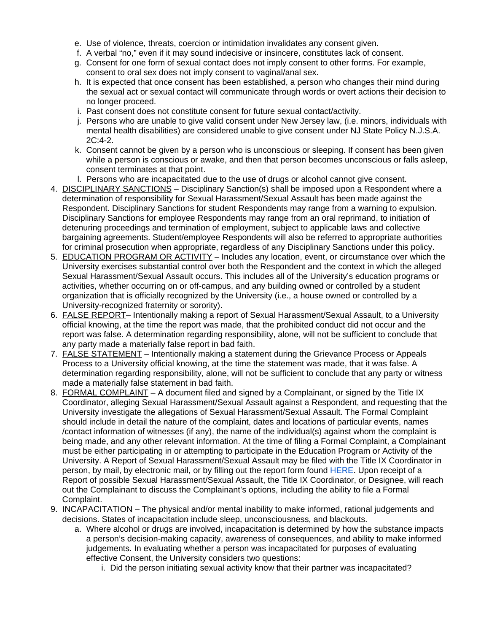- e. Use of violence, threats, coercion or intimidation invalidates any consent given.
- f. A verbal "no," even if it may sound indecisive or insincere, constitutes lack of consent.
- g. Consent for one form of sexual contact does not imply consent to other forms. For example, consent to oral sex does not imply consent to vaginal/anal sex.
- h. It is expected that once consent has been established, a person who changes their mind during the sexual act or sexual contact will communicate through words or overt actions their decision to no longer proceed.
- i. Past consent does not constitute consent for future sexual contact/activity.
- j. Persons who are unable to give valid consent under New Jersey law, (i.e. minors, individuals with mental health disabilities) are considered unable to give consent under NJ State Policy N.J.S.A. 2C:4-2.
- k. Consent cannot be given by a person who is unconscious or sleeping. If consent has been given while a person is conscious or awake, and then that person becomes unconscious or falls asleep, consent terminates at that point.
- l. Persons who are incapacitated due to the use of drugs or alcohol cannot give consent.
- 4. **DISCIPLINARY SANCTIONS** Disciplinary Sanction(s) shall be imposed upon a Respondent where a determination of responsibility for Sexual Harassment/Sexual Assault has been made against the Respondent. Disciplinary Sanctions for student Respondents may range from a warning to expulsion. Disciplinary Sanctions for employee Respondents may range from an oral reprimand, to initiation of detenuring proceedings and termination of employment, subject to applicable laws and collective bargaining agreements. Student/employee Respondents will also be referred to appropriate authorities for criminal prosecution when appropriate, regardless of any Disciplinary Sanctions under this policy.
- 5. EDUCATION PROGRAM OR ACTIVITY Includes any location, event, or circumstance over which the University exercises substantial control over both the Respondent and the context in which the alleged Sexual Harassment/Sexual Assault occurs. This includes all of the University's education programs or activities, whether occurring on or off-campus, and any building owned or controlled by a student organization that is officially recognized by the University (i.e., a house owned or controlled by a University-recognized fraternity or sorority).
- 6. **FALSE REPORT** Intentionally making a report of Sexual Harassment/Sexual Assault, to a University official knowing, at the time the report was made, that the prohibited conduct did not occur and the report was false. A determination regarding responsibility, alone, will not be sufficient to conclude that any party made a materially false report in bad faith.
- 7. **FALSE STATEMENT** Intentionally making a statement during the Grievance Process or Appeals Process to a University official knowing, at the time the statement was made, that it was false. A determination regarding responsibility, alone, will not be sufficient to conclude that any party or witness made a materially false statement in bad faith.
- 8. FORMAL COMPLAINT A document filed and signed by a Complainant, or signed by the Title IX Coordinator, alleging Sexual Harassment/Sexual Assault against a Respondent, and requesting that the University investigate the allegations of Sexual Harassment/Sexual Assault. The Formal Complaint should include in detail the nature of the complaint, dates and locations of particular events, names /contact information of witnesses (if any), the name of the individual(s) against whom the complaint is being made, and any other relevant information. At the time of filing a Formal Complaint, a Complainant must be either participating in or attempting to participate in the Education Program or Activity of the University. A Report of Sexual Harassment/Sexual Assault may be filed with the Title IX Coordinator in person, by mail, by electronic mail, or by filling out the report form found [HERE.](https://cm.maxient.com/reportingform.php?RowanUniv&layout_id=18) Upon receipt of a Report of possible Sexual Harassment/Sexual Assault, the Title IX Coordinator, or Designee, will reach out the Complainant to discuss the Complainant's options, including the ability to file a Formal Complaint.
- 9. INCAPACITATION The physical and/or mental inability to make informed, rational judgements and decisions. States of incapacitation include sleep, unconsciousness, and blackouts.
	- a. Where alcohol or drugs are involved, incapacitation is determined by how the substance impacts a person's decision-making capacity, awareness of consequences, and ability to make informed judgements. In evaluating whether a person was incapacitated for purposes of evaluating effective Consent, the University considers two questions:
		- i. Did the person initiating sexual activity know that their partner was incapacitated?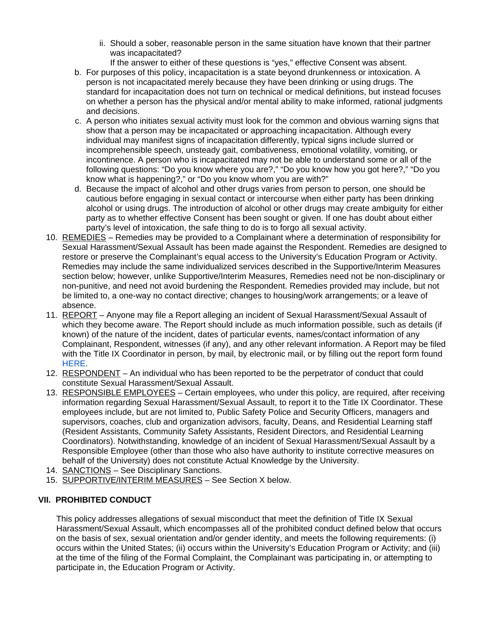ii. Should a sober, reasonable person in the same situation have known that their partner was incapacitated?

If the answer to either of these questions is "yes," effective Consent was absent.

- b. For purposes of this policy, incapacitation is a state beyond drunkenness or intoxication. A person is not incapacitated merely because they have been drinking or using drugs. The standard for incapacitation does not turn on technical or medical definitions, but instead focuses on whether a person has the physical and/or mental ability to make informed, rational judgments and decisions.
- c. A person who initiates sexual activity must look for the common and obvious warning signs that show that a person may be incapacitated or approaching incapacitation. Although every individual may manifest signs of incapacitation differently, typical signs include slurred or incomprehensible speech, unsteady gait, combativeness, emotional volatility, vomiting, or incontinence. A person who is incapacitated may not be able to understand some or all of the following questions: "Do you know where you are?," "Do you know how you got here?," "Do you know what is happening?," or "Do you know whom you are with?"
- d. Because the impact of alcohol and other drugs varies from person to person, one should be cautious before engaging in sexual contact or intercourse when either party has been drinking alcohol or using drugs. The introduction of alcohol or other drugs may create ambiguity for either party as to whether effective Consent has been sought or given. If one has doubt about either party's level of intoxication, the safe thing to do is to forgo all sexual activity.
- 10. REMEDIES Remedies may be provided to a Complainant where a determination of responsibility for Sexual Harassment/Sexual Assault has been made against the Respondent. Remedies are designed to restore or preserve the Complainant's equal access to the University's Education Program or Activity. Remedies may include the same individualized services described in the Supportive/Interim Measures section below; however, unlike Supportive/Interim Measures, Remedies need not be non-disciplinary or non-punitive, and need not avoid burdening the Respondent. Remedies provided may include, but not be limited to, a one-way no contact directive; changes to housing/work arrangements; or a leave of absence.
- 11. REPORT Anyone may file a Report alleging an incident of Sexual Harassment/Sexual Assault of which they become aware. The Report should include as much information possible, such as details (if known) of the nature of the incident, dates of particular events, names/contact information of any Complainant, Respondent, witnesses (if any), and any other relevant information. A Report may be filed with the Title IX Coordinator in person, by mail, by electronic mail, or by filling out the report form found [HERE](https://cm.maxient.com/reportingform.php?RowanUniv&layout_id=17).
- 12. RESPONDENT An individual who has been reported to be the perpetrator of conduct that could constitute Sexual Harassment/Sexual Assault.
- 13. RESPONSIBLE EMPLOYEES Certain employees, who under this policy, are required, after receiving information regarding Sexual Harassment/Sexual Assault, to report it to the Title IX Coordinator. These employees include, but are not limited to, Public Safety Police and Security Officers, managers and supervisors, coaches, club and organization advisors, faculty, Deans, and Residential Learning staff (Resident Assistants, Community Safety Assistants, Resident Directors, and Residential Learning Coordinators). Notwithstanding, knowledge of an incident of Sexual Harassment/Sexual Assault by a Responsible Employee (other than those who also have authority to institute corrective measures on behalf of the University) does not constitute Actual Knowledge by the University.
- 14. **SANCTIONS** See Disciplinary Sanctions.
- 15. SUPPORTIVE/INTERIM MEASURES See Section X below.

# **VII. PROHIBITED CONDUCT**

This policy addresses allegations of sexual misconduct that meet the definition of Title IX Sexual Harassment/Sexual Assault, which encompasses all of the prohibited conduct defined below that occurs on the basis of sex, sexual orientation and/or gender identity, and meets the following requirements: (i) occurs within the United States; (ii) occurs within the University's Education Program or Activity; and (iii) at the time of the filing of the Formal Complaint, the Complainant was participating in, or attempting to participate in, the Education Program or Activity.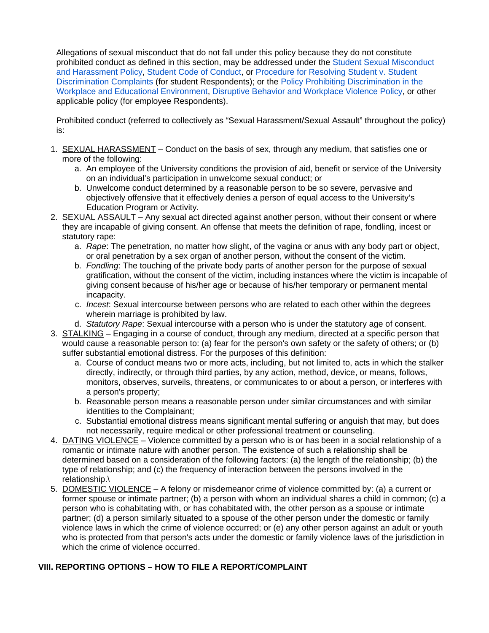Allegations of sexual misconduct that do not fall under this policy because they do not constitute prohibited conduct as defined in this section, may be addressed under the [Student Sexual Misconduct](https://confluence.rowan.edu/display/POLICY/Student+Sexual+Misconduct+and+Harassment+Policy)  [and Harassment Policy](https://confluence.rowan.edu/display/POLICY/Student+Sexual+Misconduct+and+Harassment+Policy), [Student Code of Conduct](https://confluence.rowan.edu/display/POLICY/Student+Code+of+Conduct), or [Procedure for Resolving Student v. Student](https://sites.rowan.edu/diversity-equity-inclusion/_docs/procedure-for-t6.pdf)  [Discrimination Complaints](https://sites.rowan.edu/diversity-equity-inclusion/_docs/procedure-for-t6.pdf) (for student Respondents); or the [Policy Prohibiting Discrimination in the](https://confluence.rowan.edu/display/POLICY/Policy+Prohibiting+Discrimination+in+the+Workplace+and+Educational+Environment)  [Workplace and Educational Environment](https://confluence.rowan.edu/display/POLICY/Policy+Prohibiting+Discrimination+in+the+Workplace+and+Educational+Environment), [Disruptive Behavior and Workplace Violence Policy](https://confluence.rowan.edu/display/POLICY/Disruptive+Behavior+and+Workplace+Violence+Policy#:~:text=Rowan%20University%20does%20not%20tolerate%20violence%20or%20bullying%20in%20the%20workplace.&text=Individuals%20who%20believe%20they%20are,that%20such%20behavior%20immediately%20stop.), or other applicable policy (for employee Respondents).

Prohibited conduct (referred to collectively as "Sexual Harassment/Sexual Assault" throughout the policy) is:

- 1. **SEXUAL HARASSMENT** Conduct on the basis of sex, through any medium, that satisfies one or more of the following:
	- a. An employee of the University conditions the provision of aid, benefit or service of the University on an individual's participation in unwelcome sexual conduct; or
	- b. Unwelcome conduct determined by a reasonable person to be so severe, pervasive and objectively offensive that it effectively denies a person of equal access to the University's Education Program or Activity.
- 2. **SEXUAL ASSAULT** Any sexual act directed against another person, without their consent or where they are incapable of giving consent. An offense that meets the definition of rape, fondling, incest or statutory rape:
	- a. Rape: The penetration, no matter how slight, of the vagina or anus with any body part or object, or oral penetration by a sex organ of another person, without the consent of the victim.
	- b. Fondling: The touching of the private body parts of another person for the purpose of sexual gratification, without the consent of the victim, including instances where the victim is incapable of giving consent because of his/her age or because of his/her temporary or permanent mental incapacity.
	- c. Incest: Sexual intercourse between persons who are related to each other within the degrees wherein marriage is prohibited by law.
	- d. Statutory Rape: Sexual intercourse with a person who is under the statutory age of consent.
- 3. **STALKING** Engaging in a course of conduct, through any medium, directed at a specific person that would cause a reasonable person to: (a) fear for the person's own safety or the safety of others; or (b) suffer substantial emotional distress. For the purposes of this definition:
	- a. Course of conduct means two or more acts, including, but not limited to, acts in which the stalker directly, indirectly, or through third parties, by any action, method, device, or means, follows, monitors, observes, surveils, threatens, or communicates to or about a person, or interferes with a person's property;
	- b. Reasonable person means a reasonable person under similar circumstances and with similar identities to the Complainant;
	- c. Substantial emotional distress means significant mental suffering or anguish that may, but does not necessarily, require medical or other professional treatment or counseling.
- 4. DATING VIOLENCE Violence committed by a person who is or has been in a social relationship of a romantic or intimate nature with another person. The existence of such a relationship shall be determined based on a consideration of the following factors: (a) the length of the relationship; (b) the type of relationship; and (c) the frequency of interaction between the persons involved in the relationship.\
- 5. DOMESTIC VIOLENCE A felony or misdemeanor crime of violence committed by: (a) a current or former spouse or intimate partner; (b) a person with whom an individual shares a child in common; (c) a person who is cohabitating with, or has cohabitated with, the other person as a spouse or intimate partner; (d) a person similarly situated to a spouse of the other person under the domestic or family violence laws in which the crime of violence occurred; or (e) any other person against an adult or youth who is protected from that person's acts under the domestic or family violence laws of the jurisdiction in which the crime of violence occurred.

# **VIII. REPORTING OPTIONS – HOW TO FILE A REPORT/COMPLAINT**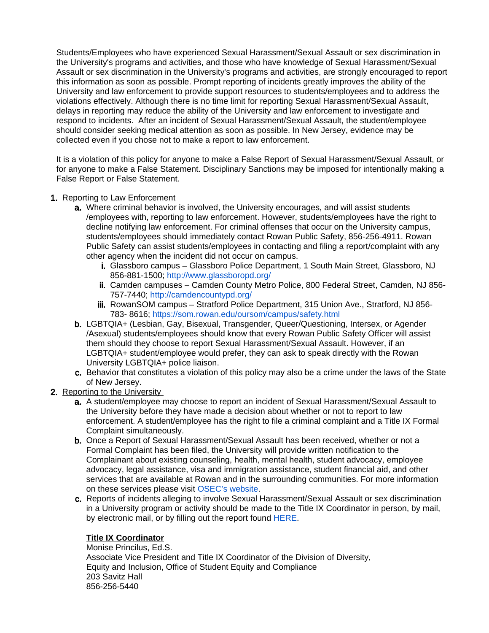Students/Employees who have experienced Sexual Harassment/Sexual Assault or sex discrimination in the University's programs and activities, and those who have knowledge of Sexual Harassment/Sexual Assault or sex discrimination in the University's programs and activities, are strongly encouraged to report this information as soon as possible. Prompt reporting of incidents greatly improves the ability of the University and law enforcement to provide support resources to students/employees and to address the violations effectively. Although there is no time limit for reporting Sexual Harassment/Sexual Assault, delays in reporting may reduce the ability of the University and law enforcement to investigate and respond to incidents. After an incident of Sexual Harassment/Sexual Assault, the student/employee should consider seeking medical attention as soon as possible. In New Jersey, evidence may be collected even if you chose not to make a report to law enforcement.

It is a violation of this policy for anyone to make a False Report of Sexual Harassment/Sexual Assault, or for anyone to make a False Statement. Disciplinary Sanctions may be imposed for intentionally making a False Report or False Statement.

# 1. Reporting to Law Enforcement

- a. Where criminal behavior is involved, the University encourages, and will assist students /employees with, reporting to law enforcement. However, students/employees have the right to decline notifying law enforcement. For criminal offenses that occur on the University campus, students/employees should immediately contact Rowan Public Safety, 856-256-4911. Rowan Public Safety can assist students/employees in contacting and filing a report/complaint with any other agency when the incident did not occur on campus.
	- i. Glassboro campus Glassboro Police Department, 1 South Main Street, Glassboro, NJ 856-881-1500;<http://www.glassboropd.org/>
	- ii. Camden campuses Camden County Metro Police, 800 Federal Street, Camden, NJ 856- 757-7440;<http://camdencountypd.org/>
	- iii. RowanSOM campus Stratford Police Department, 315 Union Ave., Stratford, NJ 856- 783- 8616;<https://som.rowan.edu/oursom/campus/safety.html>
- b. LGBTQIA+ (Lesbian, Gay, Bisexual, Transgender, Queer/Questioning, Intersex, or Agender /Asexual) students/employees should know that every Rowan Public Safety Officer will assist them should they choose to report Sexual Harassment/Sexual Assault. However, if an LGBTQIA+ student/employee would prefer, they can ask to speak directly with the Rowan University LGBTQIA+ police liaison.
- c. Behavior that constitutes a violation of this policy may also be a crime under the laws of the State of New Jersey.
- 2. Reporting to the University
	- a. A student/employee may choose to report an incident of Sexual Harassment/Sexual Assault to the University before they have made a decision about whether or not to report to law enforcement. A student/employee has the right to file a criminal complaint and a Title IX Formal Complaint simultaneously.
	- b. Once a Report of Sexual Harassment/Sexual Assault has been received, whether or not a Formal Complaint has been filed, the University will provide written notification to the Complainant about existing counseling, health, mental health, student advocacy, employee advocacy, legal assistance, visa and immigration assistance, student financial aid, and other services that are available at Rowan and in the surrounding communities. For more information on these services please visit [OSEC's website](https://sites.rowan.edu/diversity-equity-inclusion/departments/osec/).
	- c. Reports of incidents alleging to involve Sexual Harassment/Sexual Assault or sex discrimination in a University program or activity should be made to the Title IX Coordinator in person, by mail, by electronic mail, or by filling out the report found [HERE.](https://cm.maxient.com/reportingform.php?RowanUniv&layout_id=17)

# **Title IX Coordinator**

Monise Princilus, Ed.S. Associate Vice President and Title IX Coordinator of the Division of Diversity, Equity and Inclusion, Office of Student Equity and Compliance 203 Savitz Hall 856-256-5440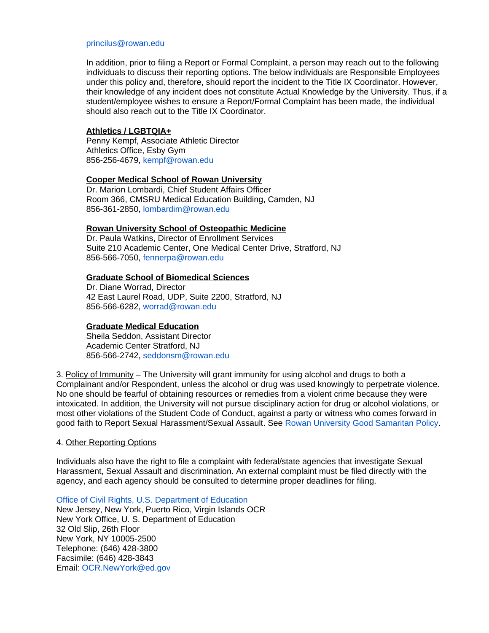#### [princilus@rowan.edu](mailto:princilus@rowan.edu)

In addition, prior to filing a Report or Formal Complaint, a person may reach out to the following individuals to discuss their reporting options. The below individuals are Responsible Employees under this policy and, therefore, should report the incident to the Title IX Coordinator. However, their knowledge of any incident does not constitute Actual Knowledge by the University. Thus, if a student/employee wishes to ensure a Report/Formal Complaint has been made, the individual should also reach out to the Title IX Coordinator.

#### **Athletics / LGBTQIA+**

Penny Kempf, Associate Athletic Director Athletics Office, Esby Gym 856-256-4679, [kempf@rowan.edu](mailto:kempf@rowan.edu)

#### **Cooper Medical School of Rowan University**

Dr. Marion Lombardi, Chief Student Affairs Officer Room 366, CMSRU Medical Education Building, Camden, NJ 856-361-2850, [lombardim@rowan.edu](mailto:lombardim@rowan.edu)

#### **Rowan University School of Osteopathic Medicine**

Dr. Paula Watkins, Director of Enrollment Services Suite 210 Academic Center, One Medical Center Drive, Stratford, NJ 856-566-7050, [fennerpa@rowan.edu](mailto:fennerpa@rowan.edu)

## **Graduate School of Biomedical Sciences**

Dr. Diane Worrad, Director 42 East Laurel Road, UDP, Suite 2200, Stratford, NJ 856-566-6282, [worrad@rowan.edu](mailto:worrad@rowan.edu)

#### **Graduate Medical Education**

Sheila Seddon, Assistant Director Academic Center Stratford, NJ 856-566-2742, [seddonsm@rowan.edu](mailto:seddonsm@rowan.edu)

3. Policy of Immunity – The University will grant immunity for using alcohol and drugs to both a Complainant and/or Respondent, unless the alcohol or drug was used knowingly to perpetrate violence. No one should be fearful of obtaining resources or remedies from a violent crime because they were intoxicated. In addition, the University will not pursue disciplinary action for drug or alcohol violations, or most other violations of the Student Code of Conduct, against a party or witness who comes forward in good faith to Report Sexual Harassment/Sexual Assault. See [Rowan University Good Samaritan Policy](https://confluence.rowan.edu/display/POLICY/Good+Samaritan+policy#:~:text=Under%20the%20Good%20Samaritan%20Policy,with%20a%20violation%20of%20the).

#### 4. Other Reporting Options

Individuals also have the right to file a complaint with federal/state agencies that investigate Sexual Harassment, Sexual Assault and discrimination. An external complaint must be filed directly with the agency, and each agency should be consulted to determine proper deadlines for filing.

[Office of Civil Rights, U.S. Department of Education](https://www2.ed.gov/about/offices/list/ocr/docs/howto.html)  New Jersey, New York, Puerto Rico, Virgin Islands OCR New York Office, U. S. Department of Education 32 Old Slip, 26th Floor New York, NY 10005-2500 Telephone: (646) 428-3800 Facsimile: (646) 428-3843 Email: [OCR.NewYork@ed.gov](mailto:OCR.NewYork@ed.gov)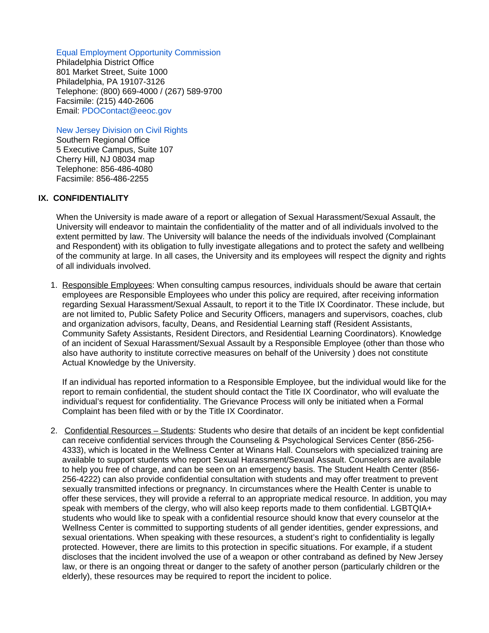# [Equal Employment Opportunity Commission](https://www.eeoc.gov/how-file-charge-employment-discrimination)

Philadelphia District Office 801 Market Street, Suite 1000 Philadelphia, PA 19107-3126 Telephone: (800) 669-4000 / (267) 589-9700 Facsimile: (215) 440-2606 Email: [PDOContact@eeoc.gov](mailto:PDOContact@eeoc.gov)

[New Jersey Division on Civil Rights](https://www.nj.gov/oag/dcr/filing.html) 

Southern Regional Office 5 Executive Campus, Suite 107 Cherry Hill, NJ 08034 map Telephone: 856-486-4080 Facsimile: 856-486-2255

# **IX. CONFIDENTIALITY**

When the University is made aware of a report or allegation of Sexual Harassment/Sexual Assault, the University will endeavor to maintain the confidentiality of the matter and of all individuals involved to the extent permitted by law. The University will balance the needs of the individuals involved (Complainant and Respondent) with its obligation to fully investigate allegations and to protect the safety and wellbeing of the community at large. In all cases, the University and its employees will respect the dignity and rights of all individuals involved.

1. Responsible Employees: When consulting campus resources, individuals should be aware that certain employees are Responsible Employees who under this policy are required, after receiving information regarding Sexual Harassment/Sexual Assault, to report it to the Title IX Coordinator. These include, but are not limited to, Public Safety Police and Security Officers, managers and supervisors, coaches, club and organization advisors, faculty, Deans, and Residential Learning staff (Resident Assistants, Community Safety Assistants, Resident Directors, and Residential Learning Coordinators). Knowledge of an incident of Sexual Harassment/Sexual Assault by a Responsible Employee (other than those who also have authority to institute corrective measures on behalf of the University ) does not constitute Actual Knowledge by the University.

If an individual has reported information to a Responsible Employee, but the individual would like for the report to remain confidential, the student should contact the Title IX Coordinator, who will evaluate the individual's request for confidentiality. The Grievance Process will only be initiated when a Formal Complaint has been filed with or by the Title IX Coordinator.

2. Confidential Resources – Students: Students who desire that details of an incident be kept confidential can receive confidential services through the Counseling & Psychological Services Center (856-256- 4333), which is located in the Wellness Center at Winans Hall. Counselors with specialized training are available to support students who report Sexual Harassment/Sexual Assault. Counselors are available to help you free of charge, and can be seen on an emergency basis. The Student Health Center (856- 256-4222) can also provide confidential consultation with students and may offer treatment to prevent sexually transmitted infections or pregnancy. In circumstances where the Health Center is unable to offer these services, they will provide a referral to an appropriate medical resource. In addition, you may speak with members of the clergy, who will also keep reports made to them confidential. LGBTQIA+ students who would like to speak with a confidential resource should know that every counselor at the Wellness Center is committed to supporting students of all gender identities, gender expressions, and sexual orientations. When speaking with these resources, a student's right to confidentiality is legally protected. However, there are limits to this protection in specific situations. For example, if a student discloses that the incident involved the use of a weapon or other contraband as defined by New Jersey law, or there is an ongoing threat or danger to the safety of another person (particularly children or the elderly), these resources may be required to report the incident to police.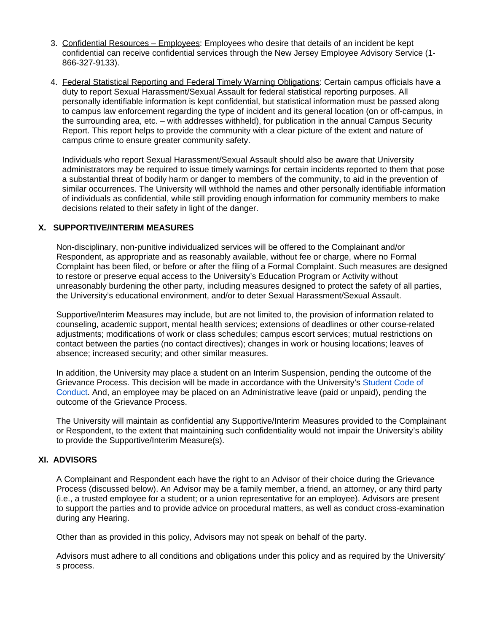- 3. Confidential Resources Employees: Employees who desire that details of an incident be kept confidential can receive confidential services through the New Jersey Employee Advisory Service (1- 866-327-9133).
- 4. Federal Statistical Reporting and Federal Timely Warning Obligations: Certain campus officials have a duty to report Sexual Harassment/Sexual Assault for federal statistical reporting purposes. All personally identifiable information is kept confidential, but statistical information must be passed along to campus law enforcement regarding the type of incident and its general location (on or off-campus, in the surrounding area, etc. – with addresses withheld), for publication in the annual Campus Security Report. This report helps to provide the community with a clear picture of the extent and nature of campus crime to ensure greater community safety.

Individuals who report Sexual Harassment/Sexual Assault should also be aware that University administrators may be required to issue timely warnings for certain incidents reported to them that pose a substantial threat of bodily harm or danger to members of the community, to aid in the prevention of similar occurrences. The University will withhold the names and other personally identifiable information of individuals as confidential, while still providing enough information for community members to make decisions related to their safety in light of the danger.

#### **X. SUPPORTIVE/INTERIM MEASURES**

Non-disciplinary, non-punitive individualized services will be offered to the Complainant and/or Respondent, as appropriate and as reasonably available, without fee or charge, where no Formal Complaint has been filed, or before or after the filing of a Formal Complaint. Such measures are designed to restore or preserve equal access to the University's Education Program or Activity without unreasonably burdening the other party, including measures designed to protect the safety of all parties, the University's educational environment, and/or to deter Sexual Harassment/Sexual Assault.

Supportive/Interim Measures may include, but are not limited to, the provision of information related to counseling, academic support, mental health services; extensions of deadlines or other course-related adjustments; modifications of work or class schedules; campus escort services; mutual restrictions on contact between the parties (no contact directives); changes in work or housing locations; leaves of absence; increased security; and other similar measures.

In addition, the University may place a student on an Interim Suspension, pending the outcome of the Grievance Process. This decision will be made in accordance with the University's [Student Code of](https://confluence.rowan.edu/display/POLICY/Student+Code+of+Conduct)  [Conduct.](https://confluence.rowan.edu/display/POLICY/Student+Code+of+Conduct) And, an employee may be placed on an Administrative leave (paid or unpaid), pending the outcome of the Grievance Process.

The University will maintain as confidential any Supportive/Interim Measures provided to the Complainant or Respondent, to the extent that maintaining such confidentiality would not impair the University's ability to provide the Supportive/Interim Measure(s).

# **XI. ADVISORS**

A Complainant and Respondent each have the right to an Advisor of their choice during the Grievance Process (discussed below). An Advisor may be a family member, a friend, an attorney, or any third party (i.e., a trusted employee for a student; or a union representative for an employee). Advisors are present to support the parties and to provide advice on procedural matters, as well as conduct cross-examination during any Hearing.

Other than as provided in this policy, Advisors may not speak on behalf of the party.

Advisors must adhere to all conditions and obligations under this policy and as required by the University' s process.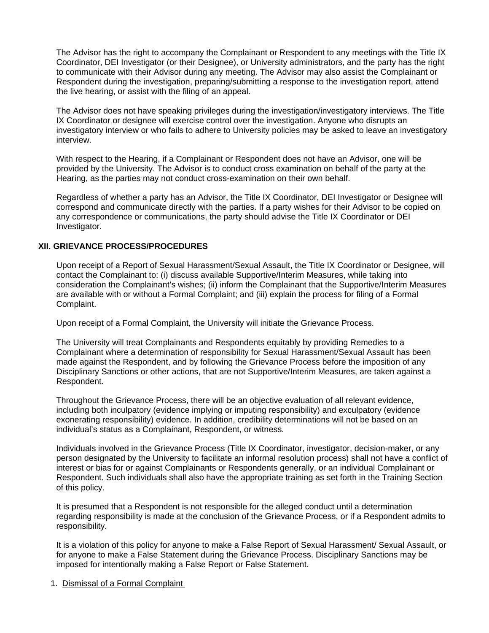The Advisor has the right to accompany the Complainant or Respondent to any meetings with the Title IX Coordinator, DEI Investigator (or their Designee), or University administrators, and the party has the right to communicate with their Advisor during any meeting. The Advisor may also assist the Complainant or Respondent during the investigation, preparing/submitting a response to the investigation report, attend the live hearing, or assist with the filing of an appeal.

The Advisor does not have speaking privileges during the investigation/investigatory interviews. The Title IX Coordinator or designee will exercise control over the investigation. Anyone who disrupts an investigatory interview or who fails to adhere to University policies may be asked to leave an investigatory interview.

With respect to the Hearing, if a Complainant or Respondent does not have an Advisor, one will be provided by the University. The Advisor is to conduct cross examination on behalf of the party at the Hearing, as the parties may not conduct cross-examination on their own behalf.

Regardless of whether a party has an Advisor, the Title IX Coordinator, DEI Investigator or Designee will correspond and communicate directly with the parties. If a party wishes for their Advisor to be copied on any correspondence or communications, the party should advise the Title IX Coordinator or DEI Investigator.

# **XII. GRIEVANCE PROCESS/PROCEDURES**

Upon receipt of a Report of Sexual Harassment/Sexual Assault, the Title IX Coordinator or Designee, will contact the Complainant to: (i) discuss available Supportive/Interim Measures, while taking into consideration the Complainant's wishes; (ii) inform the Complainant that the Supportive/Interim Measures are available with or without a Formal Complaint; and (iii) explain the process for filing of a Formal Complaint.

Upon receipt of a Formal Complaint, the University will initiate the Grievance Process.

The University will treat Complainants and Respondents equitably by providing Remedies to a Complainant where a determination of responsibility for Sexual Harassment/Sexual Assault has been made against the Respondent, and by following the Grievance Process before the imposition of any Disciplinary Sanctions or other actions, that are not Supportive/Interim Measures, are taken against a Respondent.

Throughout the Grievance Process, there will be an objective evaluation of all relevant evidence, including both inculpatory (evidence implying or imputing responsibility) and exculpatory (evidence exonerating responsibility) evidence. In addition, credibility determinations will not be based on an individual's status as a Complainant, Respondent, or witness.

Individuals involved in the Grievance Process (Title IX Coordinator, investigator, decision-maker, or any person designated by the University to facilitate an informal resolution process) shall not have a conflict of interest or bias for or against Complainants or Respondents generally, or an individual Complainant or Respondent. Such individuals shall also have the appropriate training as set forth in the Training Section of this policy.

It is presumed that a Respondent is not responsible for the alleged conduct until a determination regarding responsibility is made at the conclusion of the Grievance Process, or if a Respondent admits to responsibility.

It is a violation of this policy for anyone to make a False Report of Sexual Harassment/ Sexual Assault, or for anyone to make a False Statement during the Grievance Process. Disciplinary Sanctions may be imposed for intentionally making a False Report or False Statement.

1. Dismissal of a Formal Complaint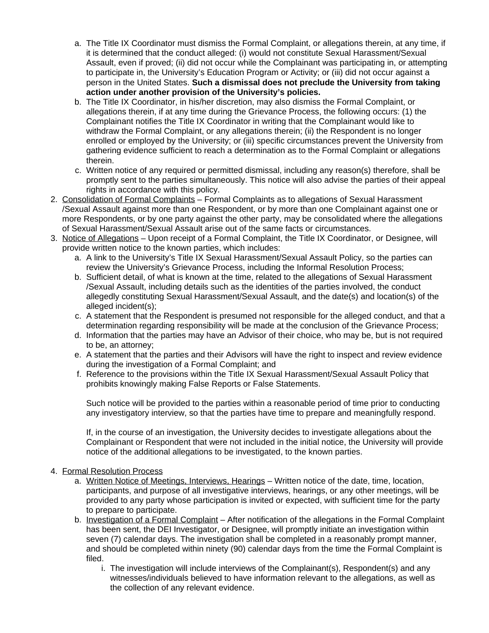- a. The Title IX Coordinator must dismiss the Formal Complaint, or allegations therein, at any time, if it is determined that the conduct alleged: (i) would not constitute Sexual Harassment/Sexual Assault, even if proved; (ii) did not occur while the Complainant was participating in, or attempting to participate in, the University's Education Program or Activity; or (iii) did not occur against a person in the United States. **Such a dismissal does not preclude the University from taking action under another provision of the University's policies.**
- b. The Title IX Coordinator, in his/her discretion, may also dismiss the Formal Complaint, or allegations therein, if at any time during the Grievance Process, the following occurs: (1) the Complainant notifies the Title IX Coordinator in writing that the Complainant would like to withdraw the Formal Complaint, or any allegations therein; (ii) the Respondent is no longer enrolled or employed by the University; or (iii) specific circumstances prevent the University from gathering evidence sufficient to reach a determination as to the Formal Complaint or allegations therein.
- c. Written notice of any required or permitted dismissal, including any reason(s) therefore, shall be promptly sent to the parties simultaneously. This notice will also advise the parties of their appeal rights in accordance with this policy.
- 2. Consolidation of Formal Complaints Formal Complaints as to allegations of Sexual Harassment /Sexual Assault against more than one Respondent, or by more than one Complainant against one or more Respondents, or by one party against the other party, may be consolidated where the allegations of Sexual Harassment/Sexual Assault arise out of the same facts or circumstances.
- 3. Notice of Allegations Upon receipt of a Formal Complaint, the Title IX Coordinator, or Designee, will provide written notice to the known parties, which includes:
	- a. A link to the University's Title IX Sexual Harassment/Sexual Assault Policy, so the parties can review the University's Grievance Process, including the Informal Resolution Process;
	- b. Sufficient detail, of what is known at the time, related to the allegations of Sexual Harassment /Sexual Assault, including details such as the identities of the parties involved, the conduct allegedly constituting Sexual Harassment/Sexual Assault, and the date(s) and location(s) of the alleged incident(s);
	- c. A statement that the Respondent is presumed not responsible for the alleged conduct, and that a determination regarding responsibility will be made at the conclusion of the Grievance Process;
	- d. Information that the parties may have an Advisor of their choice, who may be, but is not required to be, an attorney;
	- e. A statement that the parties and their Advisors will have the right to inspect and review evidence during the investigation of a Formal Complaint; and
	- f. Reference to the provisions within the Title IX Sexual Harassment/Sexual Assault Policy that prohibits knowingly making False Reports or False Statements.

Such notice will be provided to the parties within a reasonable period of time prior to conducting any investigatory interview, so that the parties have time to prepare and meaningfully respond.

If, in the course of an investigation, the University decides to investigate allegations about the Complainant or Respondent that were not included in the initial notice, the University will provide notice of the additional allegations to be investigated, to the known parties.

# 4. Formal Resolution Process

- a. Written Notice of Meetings, Interviews, Hearings Written notice of the date, time, location, participants, and purpose of all investigative interviews, hearings, or any other meetings, will be provided to any party whose participation is invited or expected, with sufficient time for the party to prepare to participate.
- b. Investigation of a Formal Complaint After notification of the allegations in the Formal Complaint has been sent, the DEI Investigator, or Designee, will promptly initiate an investigation within seven (7) calendar days. The investigation shall be completed in a reasonably prompt manner, and should be completed within ninety (90) calendar days from the time the Formal Complaint is filed.
	- i. The investigation will include interviews of the Complainant(s), Respondent(s) and any witnesses/individuals believed to have information relevant to the allegations, as well as the collection of any relevant evidence.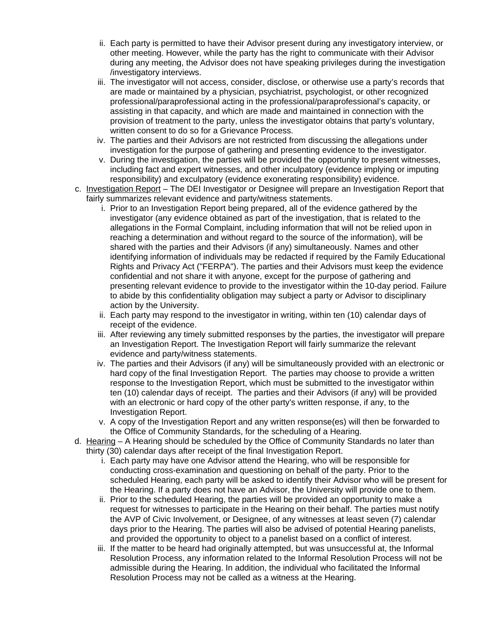- ii. Each party is permitted to have their Advisor present during any investigatory interview, or other meeting. However, while the party has the right to communicate with their Advisor during any meeting, the Advisor does not have speaking privileges during the investigation /investigatory interviews.
- iii. The investigator will not access, consider, disclose, or otherwise use a party's records that are made or maintained by a physician, psychiatrist, psychologist, or other recognized professional/paraprofessional acting in the professional/paraprofessional's capacity, or assisting in that capacity, and which are made and maintained in connection with the provision of treatment to the party, unless the investigator obtains that party's voluntary, written consent to do so for a Grievance Process.
- iv. The parties and their Advisors are not restricted from discussing the allegations under investigation for the purpose of gathering and presenting evidence to the investigator.
- v. During the investigation, the parties will be provided the opportunity to present witnesses, including fact and expert witnesses, and other inculpatory (evidence implying or imputing responsibility) and exculpatory (evidence exonerating responsibility) evidence.
- c. Investigation Report The DEI Investigator or Designee will prepare an Investigation Report that fairly summarizes relevant evidence and party/witness statements.
	- i. Prior to an Investigation Report being prepared, all of the evidence gathered by the investigator (any evidence obtained as part of the investigation, that is related to the allegations in the Formal Complaint, including information that will not be relied upon in reaching a determination and without regard to the source of the information), will be shared with the parties and their Advisors (if any) simultaneously. Names and other identifying information of individuals may be redacted if required by the Family Educational Rights and Privacy Act ("FERPA"). The parties and their Advisors must keep the evidence confidential and not share it with anyone, except for the purpose of gathering and presenting relevant evidence to provide to the investigator within the 10-day period. Failure to abide by this confidentiality obligation may subject a party or Advisor to disciplinary action by the University.
	- ii. Each party may respond to the investigator in writing, within ten (10) calendar days of receipt of the evidence.
	- iii. After reviewing any timely submitted responses by the parties, the investigator will prepare an Investigation Report. The Investigation Report will fairly summarize the relevant evidence and party/witness statements.
	- iv. The parties and their Advisors (if any) will be simultaneously provided with an electronic or hard copy of the final Investigation Report. The parties may choose to provide a written response to the Investigation Report, which must be submitted to the investigator within ten (10) calendar days of receipt. The parties and their Advisors (if any) will be provided with an electronic or hard copy of the other party's written response, if any, to the Investigation Report.
	- v. A copy of the Investigation Report and any written response(es) will then be forwarded to the Office of Community Standards, for the scheduling of a Hearing.
- d. Hearing A Hearing should be scheduled by the Office of Community Standards no later than thirty (30) calendar days after receipt of the final Investigation Report.
	- i. Each party may have one Advisor attend the Hearing, who will be responsible for conducting cross-examination and questioning on behalf of the party. Prior to the scheduled Hearing, each party will be asked to identify their Advisor who will be present for the Hearing. If a party does not have an Advisor, the University will provide one to them.
	- ii. Prior to the scheduled Hearing, the parties will be provided an opportunity to make a request for witnesses to participate in the Hearing on their behalf. The parties must notify the AVP of Civic Involvement, or Designee, of any witnesses at least seven (7) calendar days prior to the Hearing. The parties will also be advised of potential Hearing panelists, and provided the opportunity to object to a panelist based on a conflict of interest.
	- iii. If the matter to be heard had originally attempted, but was unsuccessful at, the Informal Resolution Process, any information related to the Informal Resolution Process will not be admissible during the Hearing. In addition, the individual who facilitated the Informal Resolution Process may not be called as a witness at the Hearing.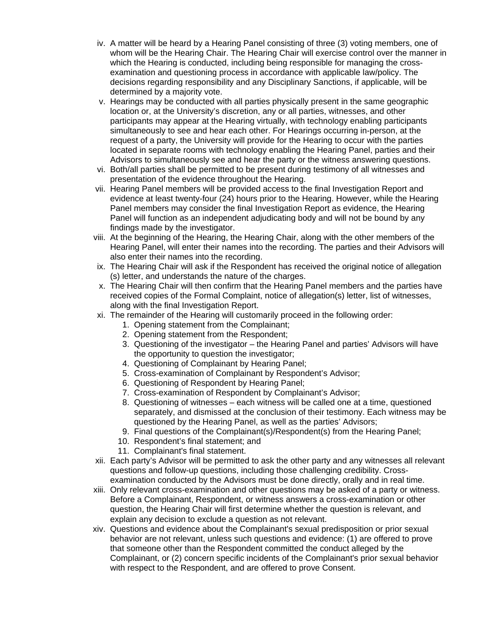- iv. A matter will be heard by a Hearing Panel consisting of three (3) voting members, one of whom will be the Hearing Chair. The Hearing Chair will exercise control over the manner in which the Hearing is conducted, including being responsible for managing the crossexamination and questioning process in accordance with applicable law/policy. The decisions regarding responsibility and any Disciplinary Sanctions, if applicable, will be determined by a majority vote.
- v. Hearings may be conducted with all parties physically present in the same geographic location or, at the University's discretion, any or all parties, witnesses, and other participants may appear at the Hearing virtually, with technology enabling participants simultaneously to see and hear each other. For Hearings occurring in-person, at the request of a party, the University will provide for the Hearing to occur with the parties located in separate rooms with technology enabling the Hearing Panel, parties and their Advisors to simultaneously see and hear the party or the witness answering questions.
- vi. Both/all parties shall be permitted to be present during testimony of all witnesses and presentation of the evidence throughout the Hearing.
- vii. Hearing Panel members will be provided access to the final Investigation Report and evidence at least twenty-four (24) hours prior to the Hearing. However, while the Hearing Panel members may consider the final Investigation Report as evidence, the Hearing Panel will function as an independent adjudicating body and will not be bound by any findings made by the investigator.
- viii. At the beginning of the Hearing, the Hearing Chair, along with the other members of the Hearing Panel, will enter their names into the recording. The parties and their Advisors will also enter their names into the recording.
- ix. The Hearing Chair will ask if the Respondent has received the original notice of allegation (s) letter, and understands the nature of the charges.
- x. The Hearing Chair will then confirm that the Hearing Panel members and the parties have received copies of the Formal Complaint, notice of allegation(s) letter, list of witnesses, along with the final Investigation Report.
- xi. The remainder of the Hearing will customarily proceed in the following order:
	- 1. Opening statement from the Complainant;
	- 2. Opening statement from the Respondent;
	- 3. Questioning of the investigator the Hearing Panel and parties' Advisors will have the opportunity to question the investigator;
	- 4. Questioning of Complainant by Hearing Panel;
	- 5. Cross-examination of Complainant by Respondent's Advisor;
	- 6. Questioning of Respondent by Hearing Panel;
	- 7. Cross-examination of Respondent by Complainant's Advisor;
	- 8. Questioning of witnesses each witness will be called one at a time, questioned separately, and dismissed at the conclusion of their testimony. Each witness may be questioned by the Hearing Panel, as well as the parties' Advisors;
	- 9. Final questions of the Complainant(s)/Respondent(s) from the Hearing Panel;
	- 10. Respondent's final statement; and
	- 11. Complainant's final statement.
- xii. Each party's Advisor will be permitted to ask the other party and any witnesses all relevant questions and follow-up questions, including those challenging credibility. Crossexamination conducted by the Advisors must be done directly, orally and in real time.
- xiii. Only relevant cross-examination and other questions may be asked of a party or witness. Before a Complainant, Respondent, or witness answers a cross-examination or other question, the Hearing Chair will first determine whether the question is relevant, and explain any decision to exclude a question as not relevant.
- xiv. Questions and evidence about the Complainant's sexual predisposition or prior sexual behavior are not relevant, unless such questions and evidence: (1) are offered to prove that someone other than the Respondent committed the conduct alleged by the Complainant, or (2) concern specific incidents of the Complainant's prior sexual behavior with respect to the Respondent, and are offered to prove Consent.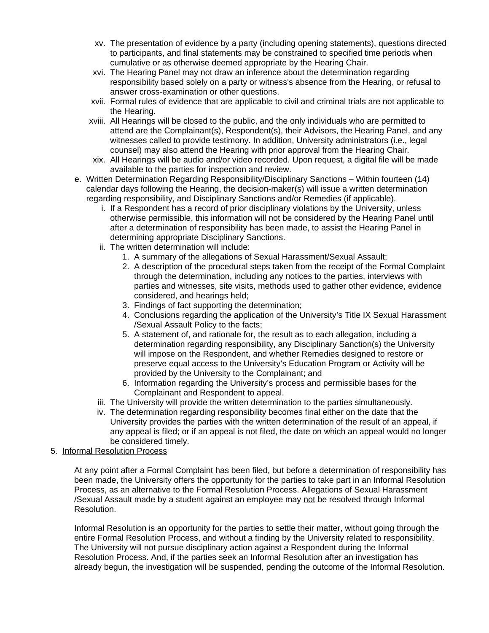- xv. The presentation of evidence by a party (including opening statements), questions directed to participants, and final statements may be constrained to specified time periods when cumulative or as otherwise deemed appropriate by the Hearing Chair.
- xvi. The Hearing Panel may not draw an inference about the determination regarding responsibility based solely on a party or witness's absence from the Hearing, or refusal to answer cross-examination or other questions.
- xvii. Formal rules of evidence that are applicable to civil and criminal trials are not applicable to the Hearing.
- xviii. All Hearings will be closed to the public, and the only individuals who are permitted to attend are the Complainant(s), Respondent(s), their Advisors, the Hearing Panel, and any witnesses called to provide testimony. In addition, University administrators (i.e., legal counsel) may also attend the Hearing with prior approval from the Hearing Chair.
- xix. All Hearings will be audio and/or video recorded. Upon request, a digital file will be made available to the parties for inspection and review.
- e. Written Determination Regarding Responsibility/Disciplinary Sanctions Within fourteen (14) calendar days following the Hearing, the decision-maker(s) will issue a written determination regarding responsibility, and Disciplinary Sanctions and/or Remedies (if applicable).
	- i. If a Respondent has a record of prior disciplinary violations by the University, unless otherwise permissible, this information will not be considered by the Hearing Panel until after a determination of responsibility has been made, to assist the Hearing Panel in determining appropriate Disciplinary Sanctions.
	- ii. The written determination will include:
		- 1. A summary of the allegations of Sexual Harassment/Sexual Assault;
		- 2. A description of the procedural steps taken from the receipt of the Formal Complaint through the determination, including any notices to the parties, interviews with parties and witnesses, site visits, methods used to gather other evidence, evidence considered, and hearings held;
		- 3. Findings of fact supporting the determination;
		- 4. Conclusions regarding the application of the University's Title IX Sexual Harassment /Sexual Assault Policy to the facts;
		- 5. A statement of, and rationale for, the result as to each allegation, including a determination regarding responsibility, any Disciplinary Sanction(s) the University will impose on the Respondent, and whether Remedies designed to restore or preserve equal access to the University's Education Program or Activity will be provided by the University to the Complainant; and
		- 6. Information regarding the University's process and permissible bases for the Complainant and Respondent to appeal.
	- iii. The University will provide the written determination to the parties simultaneously.
	- iv. The determination regarding responsibility becomes final either on the date that the University provides the parties with the written determination of the result of an appeal, if any appeal is filed; or if an appeal is not filed, the date on which an appeal would no longer be considered timely.
- 5. Informal Resolution Process

At any point after a Formal Complaint has been filed, but before a determination of responsibility has been made, the University offers the opportunity for the parties to take part in an Informal Resolution Process, as an alternative to the Formal Resolution Process. Allegations of Sexual Harassment /Sexual Assault made by a student against an employee may not be resolved through Informal Resolution.

Informal Resolution is an opportunity for the parties to settle their matter, without going through the entire Formal Resolution Process, and without a finding by the University related to responsibility. The University will not pursue disciplinary action against a Respondent during the Informal Resolution Process. And, if the parties seek an Informal Resolution after an investigation has already begun, the investigation will be suspended, pending the outcome of the Informal Resolution.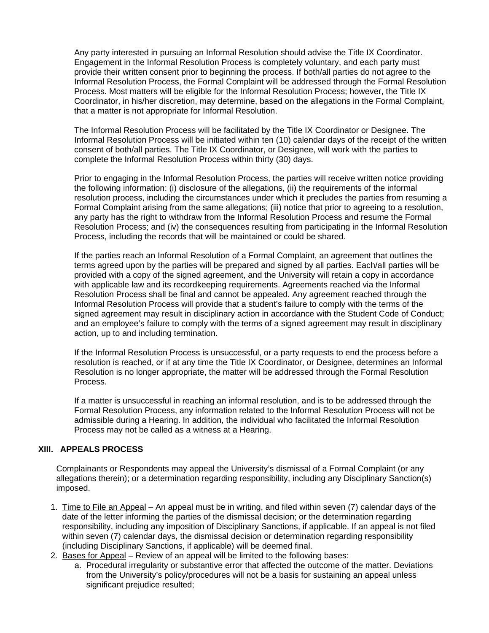Any party interested in pursuing an Informal Resolution should advise the Title IX Coordinator. Engagement in the Informal Resolution Process is completely voluntary, and each party must provide their written consent prior to beginning the process. If both/all parties do not agree to the Informal Resolution Process, the Formal Complaint will be addressed through the Formal Resolution Process. Most matters will be eligible for the Informal Resolution Process; however, the Title IX Coordinator, in his/her discretion, may determine, based on the allegations in the Formal Complaint, that a matter is not appropriate for Informal Resolution.

The Informal Resolution Process will be facilitated by the Title IX Coordinator or Designee. The Informal Resolution Process will be initiated within ten (10) calendar days of the receipt of the written consent of both/all parties. The Title IX Coordinator, or Designee, will work with the parties to complete the Informal Resolution Process within thirty (30) days.

Prior to engaging in the Informal Resolution Process, the parties will receive written notice providing the following information: (i) disclosure of the allegations, (ii) the requirements of the informal resolution process, including the circumstances under which it precludes the parties from resuming a Formal Complaint arising from the same allegations; (iii) notice that prior to agreeing to a resolution, any party has the right to withdraw from the Informal Resolution Process and resume the Formal Resolution Process; and (iv) the consequences resulting from participating in the Informal Resolution Process, including the records that will be maintained or could be shared.

If the parties reach an Informal Resolution of a Formal Complaint, an agreement that outlines the terms agreed upon by the parties will be prepared and signed by all parties. Each/all parties will be provided with a copy of the signed agreement, and the University will retain a copy in accordance with applicable law and its recordkeeping requirements. Agreements reached via the Informal Resolution Process shall be final and cannot be appealed. Any agreement reached through the Informal Resolution Process will provide that a student's failure to comply with the terms of the signed agreement may result in disciplinary action in accordance with the Student Code of Conduct; and an employee's failure to comply with the terms of a signed agreement may result in disciplinary action, up to and including termination.

If the Informal Resolution Process is unsuccessful, or a party requests to end the process before a resolution is reached, or if at any time the Title IX Coordinator, or Designee, determines an Informal Resolution is no longer appropriate, the matter will be addressed through the Formal Resolution Process.

If a matter is unsuccessful in reaching an informal resolution, and is to be addressed through the Formal Resolution Process, any information related to the Informal Resolution Process will not be admissible during a Hearing. In addition, the individual who facilitated the Informal Resolution Process may not be called as a witness at a Hearing.

# **XIII. APPEALS PROCESS**

Complainants or Respondents may appeal the University's dismissal of a Formal Complaint (or any allegations therein); or a determination regarding responsibility, including any Disciplinary Sanction(s) imposed.

- 1. Time to File an Appeal An appeal must be in writing, and filed within seven (7) calendar days of the date of the letter informing the parties of the dismissal decision; or the determination regarding responsibility, including any imposition of Disciplinary Sanctions, if applicable. If an appeal is not filed within seven (7) calendar days, the dismissal decision or determination regarding responsibility (including Disciplinary Sanctions, if applicable) will be deemed final.
- 2. **Bases for Appeal** Review of an appeal will be limited to the following bases:
	- a. Procedural irregularity or substantive error that affected the outcome of the matter. Deviations from the University's policy/procedures will not be a basis for sustaining an appeal unless significant prejudice resulted;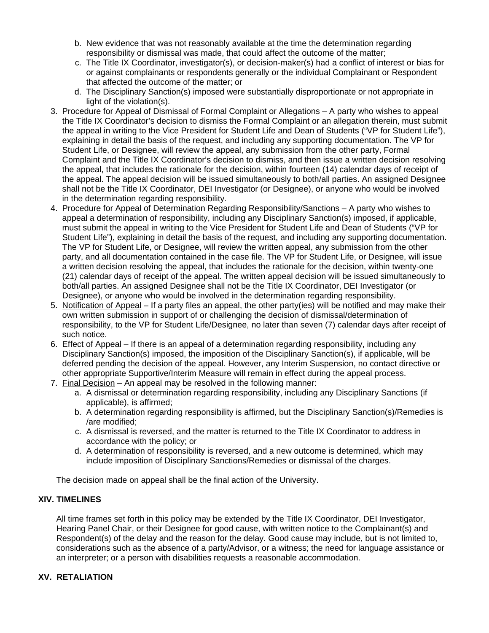- b. New evidence that was not reasonably available at the time the determination regarding responsibility or dismissal was made, that could affect the outcome of the matter;
- c. The Title IX Coordinator, investigator(s), or decision-maker(s) had a conflict of interest or bias for or against complainants or respondents generally or the individual Complainant or Respondent that affected the outcome of the matter; or
- d. The Disciplinary Sanction(s) imposed were substantially disproportionate or not appropriate in light of the violation(s).
- 3. Procedure for Appeal of Dismissal of Formal Complaint or Allegations A party who wishes to appeal the Title IX Coordinator's decision to dismiss the Formal Complaint or an allegation therein, must submit the appeal in writing to the Vice President for Student Life and Dean of Students ("VP for Student Life"), explaining in detail the basis of the request, and including any supporting documentation. The VP for Student Life, or Designee, will review the appeal, any submission from the other party, Formal Complaint and the Title IX Coordinator's decision to dismiss, and then issue a written decision resolving the appeal, that includes the rationale for the decision, within fourteen (14) calendar days of receipt of the appeal. The appeal decision will be issued simultaneously to both/all parties. An assigned Designee shall not be the Title IX Coordinator, DEI Investigator (or Designee), or anyone who would be involved in the determination regarding responsibility.
- 4. Procedure for Appeal of Determination Regarding Responsibility/Sanctions A party who wishes to appeal a determination of responsibility, including any Disciplinary Sanction(s) imposed, if applicable, must submit the appeal in writing to the Vice President for Student Life and Dean of Students ("VP for Student Life"), explaining in detail the basis of the request, and including any supporting documentation. The VP for Student Life, or Designee, will review the written appeal, any submission from the other party, and all documentation contained in the case file. The VP for Student Life, or Designee, will issue a written decision resolving the appeal, that includes the rationale for the decision, within twenty-one (21) calendar days of receipt of the appeal. The written appeal decision will be issued simultaneously to both/all parties. An assigned Designee shall not be the Title IX Coordinator, DEI Investigator (or Designee), or anyone who would be involved in the determination regarding responsibility.
- 5. Notification of Appeal If a party files an appeal, the other party(ies) will be notified and may make their own written submission in support of or challenging the decision of dismissal/determination of responsibility, to the VP for Student Life/Designee, no later than seven (7) calendar days after receipt of such notice.
- 6. Effect of Appeal If there is an appeal of a determination regarding responsibility, including any Disciplinary Sanction(s) imposed, the imposition of the Disciplinary Sanction(s), if applicable, will be deferred pending the decision of the appeal. However, any Interim Suspension, no contact directive or other appropriate Supportive/Interim Measure will remain in effect during the appeal process.
- 7. Final Decision An appeal may be resolved in the following manner:
	- a. A dismissal or determination regarding responsibility, including any Disciplinary Sanctions (if applicable), is affirmed;
	- b. A determination regarding responsibility is affirmed, but the Disciplinary Sanction(s)/Remedies is /are modified;
	- c. A dismissal is reversed, and the matter is returned to the Title IX Coordinator to address in accordance with the policy; or
	- d. A determination of responsibility is reversed, and a new outcome is determined, which may include imposition of Disciplinary Sanctions/Remedies or dismissal of the charges.

The decision made on appeal shall be the final action of the University.

# **XIV. TIMELINES**

All time frames set forth in this policy may be extended by the Title IX Coordinator, DEI Investigator, Hearing Panel Chair, or their Designee for good cause, with written notice to the Complainant(s) and Respondent(s) of the delay and the reason for the delay. Good cause may include, but is not limited to, considerations such as the absence of a party/Advisor, or a witness; the need for language assistance or an interpreter; or a person with disabilities requests a reasonable accommodation.

# **XV. RETALIATION**